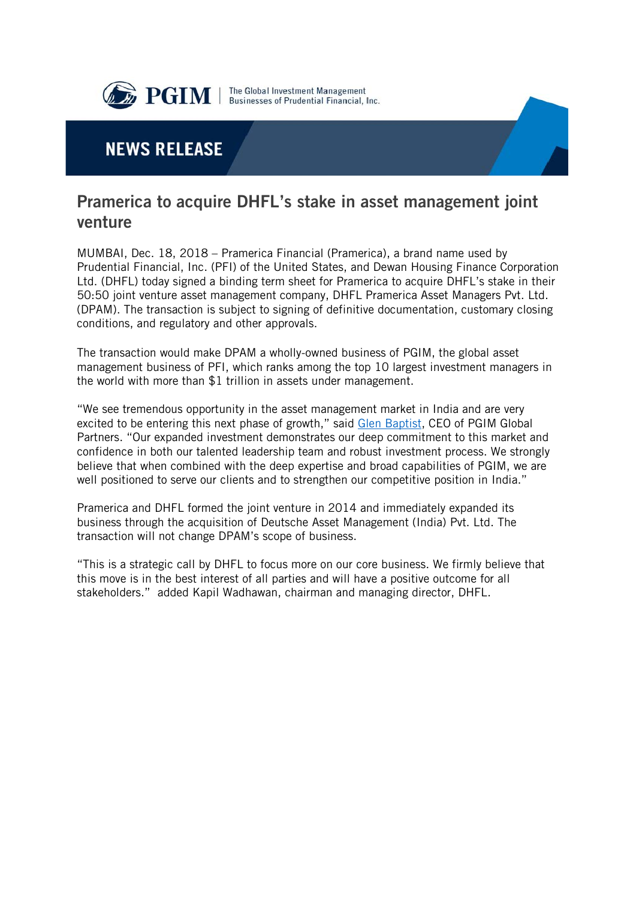

The Global Investment Management<br>Businesses of Prudential Financial, Inc.

# **NEWS RELEASE**

# **Pramerica to acquire DHFL's stake in asset management joint venture**

MUMBAI, Dec. 18, 2018 – Pramerica Financial (Pramerica), a brand name used by Prudential Financial, Inc. (PFI) of the United States, and Dewan Housing Finance Corporation Ltd. (DHFL) today signed a binding term sheet for Pramerica to acquire DHFL's stake in their 50:50 joint venture asset management company, DHFL Pramerica Asset Managers Pvt. Ltd. (DPAM). The transaction is subject to signing of definitive documentation, customary closing conditions, and regulatory and other approvals.

The transaction would make DPAM a wholly-owned business of PGIM, the global asset management business of PFI, which ranks among the top 10 largest investment managers in the world with more than \$1 trillion in assets under management.

"We see tremendous opportunity in the asset management market in India and are very excited to be entering this next phase of growth," said [Glen Baptist,](http://newsroom.pgim.com/glen-baptist.htm) CEO of PGIM Global Partners. "Our expanded investment demonstrates our deep commitment to this market and confidence in both our talented leadership team and robust investment process. We strongly believe that when combined with the deep expertise and broad capabilities of PGIM, we are well positioned to serve our clients and to strengthen our competitive position in India."

Pramerica and DHFL formed the joint venture in 2014 and immediately expanded its business through the acquisition of Deutsche Asset Management (India) Pvt. Ltd. The transaction will not change DPAM's scope of business.

"This is a strategic call by DHFL to focus more on our core business. We firmly believe that this move is in the best interest of all parties and will have a positive outcome for all stakeholders." added Kapil Wadhawan, chairman and managing director, DHFL.